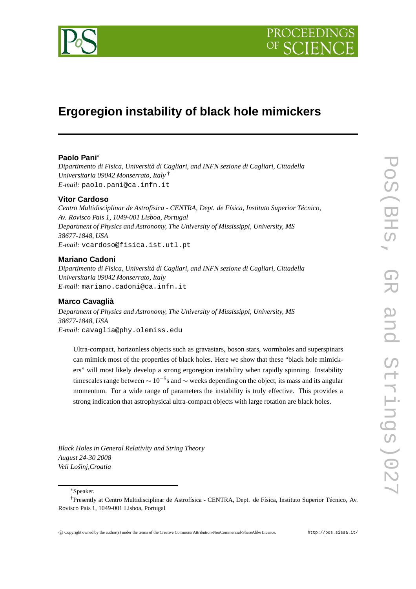

# **Ergoregion instability of black hole mimickers**

## **Paolo Pani**∗

*Dipartimento di Fisica, Università di Cagliari, and INFN sezione di Cagliari, Cittadella Universitaria 09042 Monserrato, Italy* † *E-mail:* paolo.pani@ca.infn.it

# **Vitor Cardoso**

*Centro Multidisciplinar de Astrofísica - CENTRA, Dept. de Física, Instituto Superior Técnico, Av. Rovisco Pais 1, 1049-001 Lisboa, Portugal Department of Physics and Astronomy, The University of Mississippi, University, MS 38677-1848, USA E-mail:* vcardoso@fisica.ist.utl.pt

# **Mariano Cadoni**

*Dipartimento di Fisica, Università di Cagliari, and INFN sezione di Cagliari, Cittadella Universitaria 09042 Monserrato, Italy E-mail:* mariano.cadoni@ca.infn.it

# **Marco Cavaglià**

*Department of Physics and Astronomy, The University of Mississippi, University, MS 38677-1848, USA E-mail:* cavaglia@phy.olemiss.edu

Ultra-compact, horizonless objects such as gravastars, boson stars, wormholes and superspinars can mimick most of the properties of black holes. Here we show that these "black hole mimickers" will most likely develop a strong ergoregion instability when rapidly spinning. Instability timescales range between  $\sim 10^{-5}$ s and  $\sim$  weeks depending on the object, its mass and its angular momentum. For a wide range of parameters the instability is truly effective. This provides a strong indication that astrophysical ultra-compact objects with large rotation are black holes.

*Black Holes in General Relativity and String Theory August 24-30 2008 Veli Lošinj,Croatia*

∗Speaker.

<sup>†</sup>Presently at Centro Multidisciplinar de Astrofísica - CENTRA, Dept. de Física, Instituto Superior Técnico, Av. Rovisco Pais 1, 1049-001 Lisboa, Portugal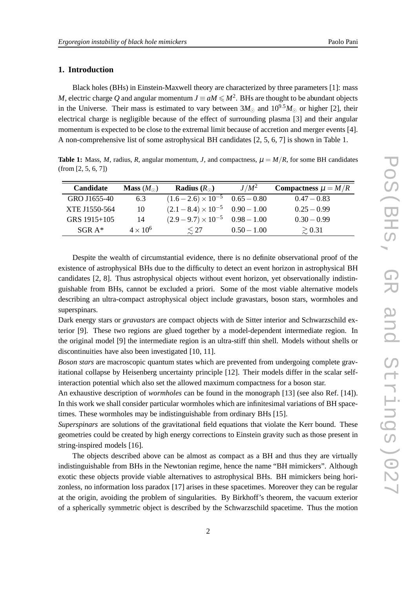## **1. Introduction**

Black holes (BHs) in Einstein-Maxwell theory are characterized by three parameters [1]: mass *M*, electric charge *Q* and angular momentum  $J \equiv aM \leq M^2$ . BHs are thought to be abundant objects in the Universe. Their mass is estimated to vary between  $3M_{\odot}$  and  $10^{9.5}M_{\odot}$  or higher [2], their electrical charge is negligible because of the effect of surrounding plasma [3] and their angular momentum is expected to be close to the extremal limit because of accretion and merger events [4]. A non-comprehensive list of some astrophysical BH candidates [2, 5, 6, 7] is shown in Table 1.

**Table 1:** Mass, *M*, radius, *R*, angular momentum, *J*, and compactness,  $\mu = M/R$ , for some BH candidates (from [2, 5, 6, 7])

| Candidate     | <b>Mass</b> $(M_{\odot})$ | <b>Radius</b> $(R_{\odot})$            | $J/M^2$       | Compactness $\mu = M/R$ |
|---------------|---------------------------|----------------------------------------|---------------|-------------------------|
| GRO J1655-40  | 6.3                       | $(1.6-2.6)\times10^{-5}$ 0.65 - 0.80   |               | $0.47 - 0.83$           |
| XTE J1550-564 | 10                        | $(2.1-8.4) \times 10^{-5}$ 0.90 - 1.00 |               | $0.25 - 0.99$           |
| GRS 1915+105  | 14                        | $(2.9-9.7)\times10^{-5}$ 0.98 - 1.00   |               | $0.30 - 0.99$           |
| $SGR A*$      | $4 \times 10^6$           | $\lesssim$ 27                          | $0.50 - 1.00$ | $\geq 0.31$             |

Despite the wealth of circumstantial evidence, there is no definite observational proof of the existence of astrophysical BHs due to the difficulty to detect an event horizon in astrophysical BH candidates [2, 8]. Thus astrophysical objects without event horizon, yet observationally indistinguishable from BHs, cannot be excluded a priori. Some of the most viable alternative models describing an ultra-compact astrophysical object include gravastars, boson stars, wormholes and superspinars.

Dark energy stars or *gravastars* are compact objects with de Sitter interior and Schwarzschild exterior [9]. These two regions are glued together by a model-dependent intermediate region. In the original model [9] the intermediate region is an ultra-stiff thin shell. Models without shells or discontinuities have also been investigated [10, 11].

*Boson stars* are macroscopic quantum states which are prevented from undergoing complete gravitational collapse by Heisenberg uncertainty principle [12]. Their models differ in the scalar selfinteraction potential which also set the allowed maximum compactness for a boson star.

An exhaustive description of *wormholes* can be found in the monograph [13] (see also Ref. [14]). In this work we shall consider particular wormholes which are infinitesimal variations of BH spacetimes. These wormholes may be indistinguishable from ordinary BHs [15].

*Superspinars* are solutions of the gravitational field equations that violate the Kerr bound. These geometries could be created by high energy corrections to Einstein gravity such as those present in string-inspired models [16].

The objects described above can be almost as compact as a BH and thus they are virtually indistinguishable from BHs in the Newtonian regime, hence the name "BH mimickers". Although exotic these objects provide viable alternatives to astrophysical BHs. BH mimickers being horizonless, no information loss paradox [17] arises in these spacetimes. Moreover they can be regular at the origin, avoiding the problem of singularities. By Birkhoff's theorem, the vacuum exterior of a spherically symmetric object is described by the Schwarzschild spacetime. Thus the motion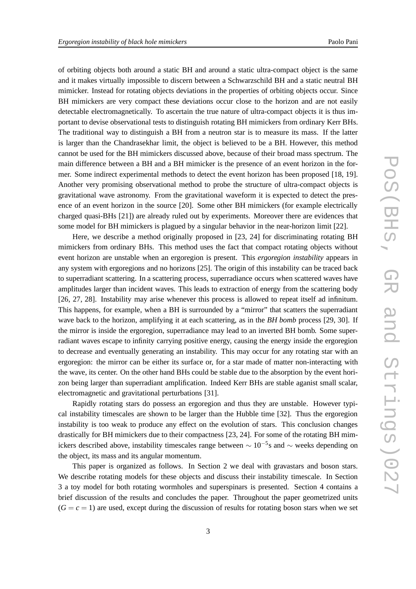of orbiting objects both around a static BH and around a static ultra-compact object is the same and it makes virtually impossible to discern between a Schwarzschild BH and a static neutral BH mimicker. Instead for rotating objects deviations in the properties of orbiting objects occur. Since BH mimickers are very compact these deviations occur close to the horizon and are not easily detectable electromagnetically. To ascertain the true nature of ultra-compact objects it is thus important to devise observational tests to distinguish rotating BH mimickers from ordinary Kerr BHs. The traditional way to distinguish a BH from a neutron star is to measure its mass. If the latter is larger than the Chandrasekhar limit, the object is believed to be a BH. However, this method cannot be used for the BH mimickers discussed above, because of their broad mass spectrum. The main difference between a BH and a BH mimicker is the presence of an event horizon in the former. Some indirect experimental methods to detect the event horizon has been proposed [18, 19]. Another very promising observational method to probe the structure of ultra-compact objects is gravitational wave astronomy. From the gravitational waveform it is expected to detect the presence of an event horizon in the source [20]. Some other BH mimickers (for example electrically charged quasi-BHs [21]) are already ruled out by experiments. Moreover there are evidences that some model for BH mimickers is plagued by a singular behavior in the near-horizon limit [22].

Here, we describe a method originally proposed in [23, 24] for discriminating rotating BH mimickers from ordinary BHs. This method uses the fact that compact rotating objects without event horizon are unstable when an ergoregion is present. This *ergoregion instability* appears in any system with ergoregions and no horizons [25]. The origin of this instability can be traced back to superradiant scattering. In a scattering process, superradiance occurs when scattered waves have amplitudes larger than incident waves. This leads to extraction of energy from the scattering body [26, 27, 28]. Instability may arise whenever this process is allowed to repeat itself ad infinitum. This happens, for example, when a BH is surrounded by a "mirror" that scatters the superradiant wave back to the horizon, amplifying it at each scattering, as in the *BH bomb* process [29, 30]. If the mirror is inside the ergoregion, superradiance may lead to an inverted BH bomb. Some superradiant waves escape to infinity carrying positive energy, causing the energy inside the ergoregion to decrease and eventually generating an instability. This may occur for any rotating star with an ergoregion: the mirror can be either its surface or, for a star made of matter non-interacting with the wave, its center. On the other hand BHs could be stable due to the absorption by the event horizon being larger than superradiant amplification. Indeed Kerr BHs are stable aganist small scalar, electromagnetic and gravitational perturbations [31].

Rapidly rotating stars do possess an ergoregion and thus they are unstable. However typical instability timescales are shown to be larger than the Hubble time [32]. Thus the ergoregion instability is too weak to produce any effect on the evolution of stars. This conclusion changes drastically for BH mimickers due to their compactness [23, 24]. For some of the rotating BH mimickers described above, instability timescales range between  $\sim 10^{-5}$ s and  $\sim$  weeks depending on the object, its mass and its angular momentum.

This paper is organized as follows. In Section 2 we deal with gravastars and boson stars. We describe rotating models for these objects and discuss their instability timescale. In Section 3 a toy model for both rotating wormholes and superspinars is presented. Section 4 contains a brief discussion of the results and concludes the paper. Throughout the paper geometrized units  $(G = c = 1)$  are used, except during the discussion of results for rotating boson stars when we set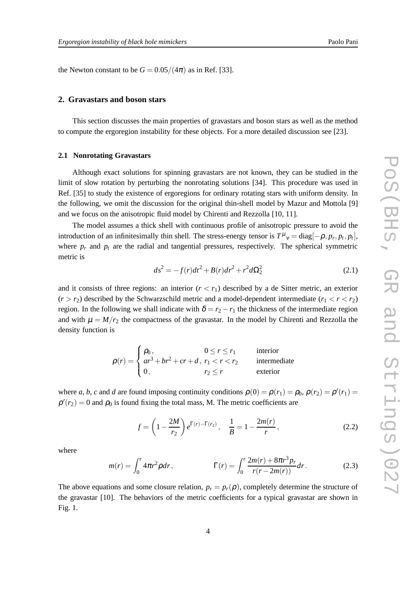the Newton constant to be  $G = 0.05/(4\pi)$  as in Ref. [33].

## **2. Gravastars and boson stars**

This section discusses the main properties of gravastars and boson stars as well as the method to compute the ergoregion instability for these objects. For a more detailed discussion see [23].

#### **2.1 Nonrotating Gravastars**

Although exact solutions for spinning gravastars are not known, they can be studied in the limit of slow rotation by perturbing the nonrotating solutions [34]. This procedure was used in Ref. [35] to study the existence of ergoregions for ordinary rotating stars with uniform density. In the following, we omit the discussion for the original thin-shell model by Mazur and Mottola [9] and we focus on the anisotropic fluid model by Chirenti and Rezzolla [10, 11].

The model assumes a thick shell with continuous profile of anisotropic pressure to avoid the introduction of an infinitesimally thin shell. The stress-energy tensor is  $T^{\mu}{}_{\nu} = \text{diag}[-\rho, p_r, p_t, p_t]$ , where  $p_r$  and  $p_t$  are the radial and tangential pressures, respectively. The spherical symmetric metric is

$$
ds^{2} = -f(r)dt^{2} + B(r)dr^{2} + r^{2}d\Omega_{2}^{2}
$$
 (2.1)

and it consists of three regions: an interior  $(r < r_1)$  described by a de Sitter metric, an exterior  $(r > r_2)$  described by the Schwarzschild metric and a model-dependent intermediate  $(r_1 < r < r_2)$ region. In the following we shall indicate with  $\delta = r_2 - r_1$  the thickness of the intermediate region and with  $\mu = M/r_2$  the compactness of the gravastar. In the model by Chirenti and Rezzolla the density function is

$$
\rho(r) = \begin{cases} \rho_0, & 0 \le r \le r_1 \\ ar^3 + br^2 + cr + d, & r_1 < r < r_2 \\ 0, & r_2 \le r \end{cases}
$$
intermediate exterior

where *a*, *b*, *c* and *d* are found imposing continuity conditions  $\rho(0) = \rho(r_1) = \rho_0$ ,  $\rho(r_2) = \rho'(r_1) =$  $\rho'(r_2) = 0$  and  $\rho_0$  is found fixing the total mass, M. The metric coefficients are

$$
f = \left(1 - \frac{2M}{r_2}\right)e^{\Gamma(r) - \Gamma(r_2)}, \quad \frac{1}{B} = 1 - \frac{2m(r)}{r},\tag{2.2}
$$

where

$$
m(r) = \int_0^r 4\pi r^2 \rho dr, \qquad \Gamma(r) = \int_0^r \frac{2m(r) + 8\pi r^3 p_r}{r(r - 2m(r))} dr.
$$
 (2.3)

The above equations and some closure relation,  $p_r = p_r(\rho)$ , completely determine the structure of the gravastar [10]. The behaviors of the metric coefficients for a typical gravastar are shown in Fig. 1.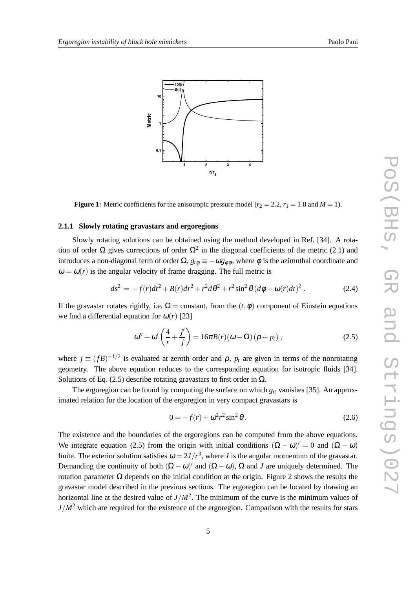



**Figure 1:** Metric coefficients for the anisotropic pressure model ( $r_2 = 2.2$ ,  $r_1 = 1.8$  and  $M = 1$ ).

## **2.1.1 Slowly rotating gravastars and ergoregions**

Slowly rotating solutions can be obtained using the method developed in Ref. [34]. A rotation of order  $\Omega$  gives corrections of order  $\Omega^2$  in the diagonal coefficients of the metric (2.1) and introduces a non-diagonal term of order  $\Omega$ ,  $g_{t\phi} \equiv -\omega g_{\phi\phi}$ , where  $\phi$  is the azimuthal coordinate and  $\omega = \omega(r)$  is the angular velocity of frame dragging. The full metric is

$$
ds^{2} = -f(r)dt^{2} + B(r)dr^{2} + r^{2}d\theta^{2} + r^{2}\sin^{2}\theta (d\phi - \omega(r)dt)^{2}.
$$
 (2.4)

If the gravastar rotates rigidly, i.e.  $\Omega =$  constant, from the  $(t, \phi)$  component of Einstein equations we find a differential equation for  $\omega(r)$  [23]

$$
\omega'' + \omega' \left( \frac{4}{r} + \frac{j'}{j} \right) = 16\pi B(r)(\omega - \Omega)(\rho + p_t), \qquad (2.5)
$$

where  $j \equiv (fB)^{-1/2}$  is evaluated at zeroth order and  $\rho$ ,  $p_t$  are given in terms of the nonrotating geometry. The above equation reduces to the corresponding equation for isotropic fluids [34]. Solutions of Eq. (2.5) describe rotating gravastars to first order in  $\Omega$ .

The ergoregion can be found by computing the surface on which  $g_t$  vanishes [35]. An approximated relation for the location of the ergoregion in very compact gravastars is

$$
0 = -f(r) + \omega^2 r^2 \sin^2 \theta.
$$
 (2.6)

The existence and the boundaries of the ergoregions can be computed from the above equations. We integrate equation (2.5) from the origin with initial conditions  $(\Omega - \omega)' = 0$  and  $(\Omega - \omega)$ finite. The exterior solution satisfies  $\omega = 2J/r^3$ , where *J* is the angular momentum of the gravastar. Demanding the continuity of both  $(\Omega - \omega)'$  and  $(\Omega - \omega)$ ,  $\Omega$  and *J* are uniquely determined. The rotation parameter Ω depends on the initial condition at the origin. Figure 2 shows the results the gravastar model described in the previous sections. The ergoregion can be located by drawing an horizontal line at the desired value of  $J/M^2$ . The minimum of the curve is the minimum values of  $J/M^2$  which are required for the existence of the ergoregion. Comparison with the results for stars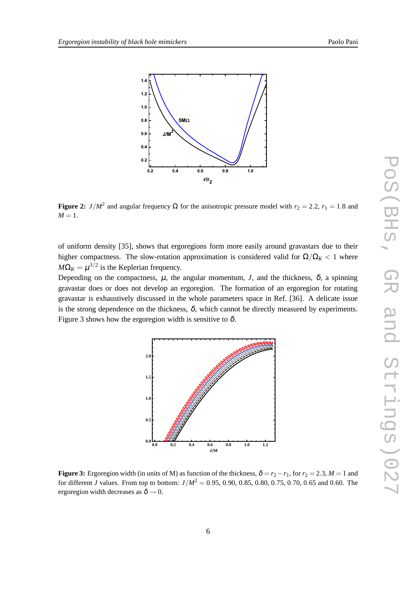

**Figure 2:** *J*/ $M^2$  and angular frequency  $\Omega$  for the anisotropic pressure model with  $r_2 = 2.2$ ,  $r_1 = 1.8$  and  $M=1$ .

of uniform density [35], shows that ergoregions form more easily around gravastars due to their higher compactness. The slow-rotation approximation is considered valid for  $\Omega/\Omega_K < 1$  where  $M\Omega_K = \mu^{3/2}$  is the Keplerian frequency.

Depending on the compactness,  $\mu$ , the angular momentum, *J*, and the thickness,  $\delta$ , a spinning gravastar does or does not develop an ergoregion. The formation of an ergoregion for rotating gravastar is exhaustively discussed in the whole parameters space in Ref. [36]. A delicate issue is the strong dependence on the thickness,  $\delta$ , which cannot be directly measured by experiments. Figure 3 shows how the ergoregion width is sensitive to  $\delta$ .



**Figure 3:** Ergoregion width (in units of M) as function of the thickness,  $\delta = r_2 - r_1$ , for  $r_2 = 2.3$ ,  $M = 1$  and for different *J* values. From top to bottom:  $J/M^2 = 0.95, 0.90, 0.85, 0.80, 0.75, 0.70, 0.65$  and 0.60. The ergoregion width decreases as  $\delta \rightarrow 0$ .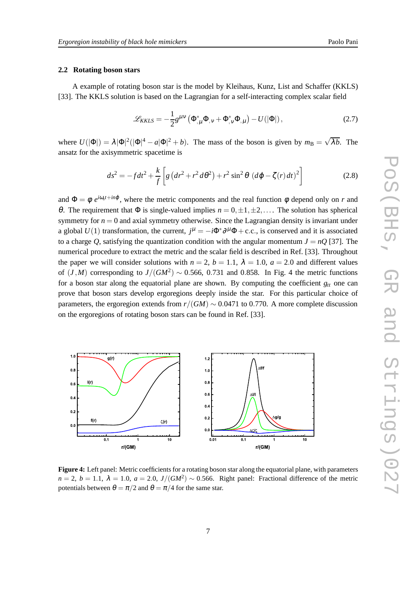#### **2.2 Rotating boson stars**

A example of rotating boson star is the model by Kleihaus, Kunz, List and Schaffer (KKLS) [33]. The KKLS solution is based on the Lagrangian for a self-interacting complex scalar field

$$
\mathcal{L}_{KKLS} = -\frac{1}{2}g^{\mu\nu}\left(\Phi_{,\mu}^*\Phi_{,\nu} + \Phi_{,\nu}^*\Phi_{,\mu}\right) - U(|\Phi|),\tag{2.7}
$$

where  $U(|\Phi|) = \lambda |\Phi|^2 (|\Phi|^4 - a|\Phi|^2 + b)$ . The mass of the boson is given by  $m_B = \sqrt{\lambda b}$ . The ansatz for the axisymmetric spacetime is

$$
ds^{2} = -fdt^{2} + \frac{k}{f}\left[g\left(dr^{2} + r^{2}d\theta^{2}\right) + r^{2}\sin^{2}\theta\left(d\varphi - \zeta(r)dt\right)^{2}\right]
$$
(2.8)

and  $\Phi = \phi e^{i\omega_s t + i n\phi}$ , where the metric components and the real function  $\phi$  depend only on *r* and θ. The requirement that Φ is single-valued implies  $n = 0, \pm 1, \pm 2, \ldots$ . The solution has spherical symmetry for  $n = 0$  and axial symmetry otherwise. Since the Lagrangian density is invariant under a global *U*(1) transformation, the current,  $j^{\mu} = -i\Phi^* \partial^{\mu} \Phi + c.c.$ , is conserved and it is associated to a charge O, satisfying the quantization condition with the angular momentum  $J = nQ$  [37]. The numerical procedure to extract the metric and the scalar field is described in Ref. [33]. Throughout the paper we will consider solutions with  $n = 2$ ,  $b = 1.1$ ,  $\lambda = 1.0$ ,  $a = 2.0$  and different values of  $(J, M)$  corresponding to  $J/(GM^2) \sim 0.566, 0.731$  and 0.858. In Fig. 4 the metric functions for a boson star along the equatorial plane are shown. By computing the coefficient  $g_t$  one can prove that boson stars develop ergoregions deeply inside the star. For this particular choice of parameters, the ergoregion extends from  $r/(GM) \sim 0.0471$  to 0.770. A more complete discussion on the ergoregions of rotating boson stars can be found in Ref. [33].



**Figure 4:** Left panel: Metric coefficients for a rotating boson star along the equatorial plane, with parameters  $n = 2$ ,  $b = 1.1$ ,  $\lambda = 1.0$ ,  $a = 2.0$ ,  $J/(GM^2) \sim 0.566$ . Right panel: Fractional difference of the metric potentials between  $\theta = \pi/2$  and  $\theta = \pi/4$  for the same star.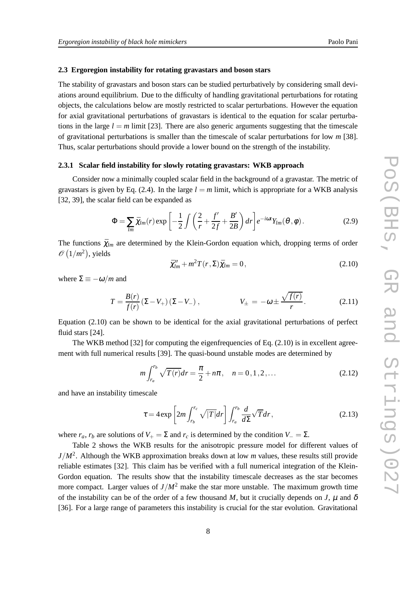#### **2.3 Ergoregion instability for rotating gravastars and boson stars**

The stability of gravastars and boson stars can be studied perturbatively by considering small deviations around equilibrium. Due to the difficulty of handling gravitational perturbations for rotating objects, the calculations below are mostly restricted to scalar perturbations. However the equation for axial gravitational perturbations of gravastars is identical to the equation for scalar perturbations in the large  $l = m$  limit [23]. There are also generic arguments suggesting that the timescale of gravitational perturbations is smaller than the timescale of scalar perturbations for low *m* [38]. Thus, scalar perturbations should provide a lower bound on the strength of the instability.

## **2.3.1 Scalar field instability for slowly rotating gravastars: WKB approach**

Consider now a minimally coupled scalar field in the background of a gravastar. The metric of gravastars is given by Eq. (2.4). In the large  $l = m$  limit, which is appropriate for a WKB analysis [32, 39], the scalar field can be expanded as

$$
\Phi = \sum_{lm} \bar{\chi}_{lm}(r) \exp\left[-\frac{1}{2} \int \left(\frac{2}{r} + \frac{f'}{2f} + \frac{B'}{2B}\right) dr\right] e^{-i\omega t} Y_{lm}(\theta, \phi).
$$
 (2.9)

The functions  $\bar{\chi}_{lm}$  are determined by the Klein-Gordon equation which, dropping terms of order  $\mathcal{O}(1/m^2)$ , yields

$$
\bar{\chi}^{\prime\prime}_{lm} + m^2 T(r,\Sigma) \bar{\chi}_{lm} = 0, \qquad (2.10)
$$

where  $\Sigma \equiv -\omega/m$  and

$$
T = \frac{B(r)}{f(r)} (\Sigma - V_+) (\Sigma - V_-) , \qquad V_{\pm} = -\omega \pm \frac{\sqrt{f(r)}}{r} . \qquad (2.11)
$$

Equation (2.10) can be shown to be identical for the axial gravitational perturbations of perfect fluid stars [24].

The WKB method  $[32]$  for computing the eigenfrequencies of Eq.  $(2.10)$  is in excellent agreement with full numerical results [39]. The quasi-bound unstable modes are determined by

$$
m \int_{r_a}^{r_b} \sqrt{T(r)} dr = \frac{\pi}{2} + n\pi, \quad n = 0, 1, 2, \dots
$$
 (2.12)

and have an instability timescale

$$
\tau = 4 \exp \left[ 2m \int_{r_b}^{r_c} \sqrt{|T|} dr \right] \int_{r_a}^{r_b} \frac{d}{d\Sigma} \sqrt{T} dr, \qquad (2.13)
$$

where  $r_a$ ,  $r_b$  are solutions of  $V_+ = \Sigma$  and  $r_c$  is determined by the condition  $V_- = \Sigma$ .

Table 2 shows the WKB results for the anisotropic pressure model for different values of *J*/*M*<sup>2</sup> . Although the WKB approximation breaks down at low *m* values, these results still provide reliable estimates [32]. This claim has be verified with a full numerical integration of the Klein-Gordon equation. The results show that the instability timescale decreases as the star becomes more compact. Larger values of  $J/M^2$  make the star more unstable. The maximum growth time of the instability can be of the order of a few thousand M, but it crucially depends on  $J$ ,  $\mu$  and  $\delta$ [36]. For a large range of parameters this instability is crucial for the star evolution. Gravitational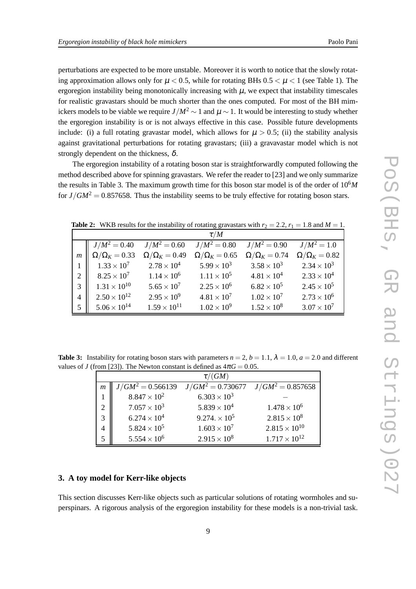perturbations are expected to be more unstable. Moreover it is worth to notice that the slowly rotating approximation allows only for  $\mu < 0.5$ , while for rotating BHs  $0.5 < \mu < 1$  (see Table 1). The ergoregion instability being monotonically increasing with  $\mu$ , we expect that instability timescales for realistic gravastars should be much shorter than the ones computed. For most of the BH mimickers models to be viable we require  $J/M^2$  ∼ 1 and  $\mu \sim 1$ . It would be interesting to study whether the ergoregion instability is or is not always effective in this case. Possible future developments include: (i) a full rotating gravastar model, which allows for  $\mu > 0.5$ ; (ii) the stability analysis against gravitational perturbations for rotating gravastars; (iii) a gravavastar model which is not strongly dependent on the thickness,  $\delta$ .

The ergoregion instability of a rotating boson star is straightforwardly computed following the method described above for spinning gravastars. We refer the reader to [23] and we only summarize the results in Table 3. The maximum growth time for this boson star model is of the order of 106*M* for  $J/GM^2 = 0.857658$ . Thus the instability seems to be truly effective for rotating boson stars.

**Table 2:** WKB results for the instability of rotating gravastars with  $r_2 = 2.2$ ,  $r_1 = 1.8$  and  $M = 1$ .

|                  |                          |                        | $\tau/M$               |                        |                        |
|------------------|--------------------------|------------------------|------------------------|------------------------|------------------------|
|                  | $J/M^2 = 0.40$           | $J/M^2 = 0.60$         | $J/M^2 = 0.80$         | $J/M^2 = 0.90$         | $J/M^2 = 1.0$          |
| $\boldsymbol{m}$ | $\Omega/\Omega_K = 0.33$ | $\Omega/\Omega_K=0.49$ | $\Omega/\Omega_K=0.65$ | $\Omega/\Omega_K=0.74$ | $\Omega/\Omega_K=0.82$ |
|                  | $1.33 \times 10^{7}$     | $2.78 \times 10^{4}$   | $5.99 \times 10^{3}$   | $3.58 \times 10^{3}$   | $2.34 \times 10^{3}$   |
| 2                | $8.25 \times 10^{7}$     | $1.14 \times 10^{6}$   | $1.11 \times 10^5$     | $4.81 \times 10^{4}$   | $2.33 \times 10^{4}$   |
| 3                | $1.31 \times 10^{10}$    | $5.65 \times 10^{7}$   | $2.25 \times 10^{6}$   | $6.82 \times 10^{5}$   | $2.45 \times 10^{5}$   |
| 4                | $2.50 \times 10^{12}$    | $2.95 \times 10^{9}$   | $4.81 \times 10^{7}$   | $1.02 \times 10^{7}$   | $2.73 \times 10^{6}$   |
| 5                | $5.06 \times 10^{14}$    | $1.59 \times 10^{11}$  | $1.02 \times 10^{9}$   | $1.52 \times 10^8$     | $3.07 \times 10^{7}$   |

**Table 3:** Instability for rotating boson stars with parameters  $n = 2$ ,  $b = 1.1$ ,  $\lambda = 1.0$ ,  $a = 2.0$  and different values of *J* (from [23]). The Newton constant is defined as  $4\pi G = 0.05$ .

| $\tau/(GM)$    |                       |                       |                        |  |  |
|----------------|-----------------------|-----------------------|------------------------|--|--|
| $\mathfrak{m}$ | $J/GM^2 = 0.566139$   | $J/GM^2 = 0.730677$   | $J/GM^2 = 0.857658$    |  |  |
|                | $8.847 \times 10^{2}$ | $6.303 \times 10^{3}$ |                        |  |  |
|                | $7.057 \times 10^{3}$ | $5.839 \times 10^{4}$ | $1.478 \times 10^{6}$  |  |  |
| $\mathbf{R}$   | $6.274 \times 10^{4}$ | $9.274 \times 10^5$   | $2.815 \times 10^8$    |  |  |
|                | $5.824 \times 10^{5}$ | $1.603 \times 10^{7}$ | $2.815 \times 10^{10}$ |  |  |
|                | $5.554 \times 10^{6}$ | $2.915 \times 10^{8}$ | $1.717 \times 10^{12}$ |  |  |

## **3. A toy model for Kerr-like objects**

This section discusses Kerr-like objects such as particular solutions of rotating wormholes and superspinars. A rigorous analysis of the ergoregion instability for these models is a non-trivial task.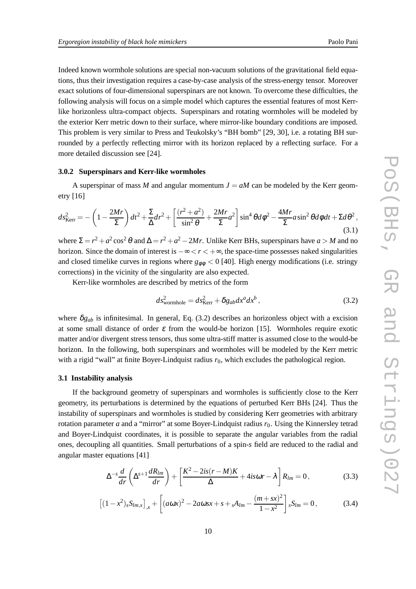Indeed known wormhole solutions are special non-vacuum solutions of the gravitational field equations, thus their investigation requires a case-by-case analysis of the stress-energy tensor. Moreover exact solutions of four-dimensional superspinars are not known. To overcome these difficulties, the following analysis will focus on a simple model which captures the essential features of most Kerrlike horizonless ultra-compact objects. Superspinars and rotating wormholes will be modeled by the exterior Kerr metric down to their surface, where mirror-like boundary conditions are imposed. This problem is very similar to Press and Teukolsky's "BH bomb" [29, 30], i.e. a rotating BH surrounded by a perfectly reflecting mirror with its horizon replaced by a reflecting surface. For a more detailed discussion see [24].

## **3.0.2 Superspinars and Kerr-like wormholes**

A superspinar of mass *M* and angular momentum  $J = aM$  can be modeled by the Kerr geometry [16]

$$
ds_{\text{Kerr}}^2 = -\left(1 - \frac{2Mr}{\Sigma}\right)dt^2 + \frac{\Sigma}{\Delta}dr^2 + \left[\frac{(r^2 + a^2)}{\sin^2\theta} + \frac{2Mr}{\Sigma}a^2\right]\sin^4\theta d\phi^2 - \frac{4Mr}{\Sigma}a\sin^2\theta d\phi dt + \Sigma d\theta^2,\tag{3.1}
$$

where  $\Sigma = r^2 + a^2 \cos^2 \theta$  and  $\Delta = r^2 + a^2 - 2Mr$ . Unlike Kerr BHs, superspinars have  $a > M$  and no horizon. Since the domain of interest is −∞ < *r* < +∞, the space-time possesses naked singularities and closed timelike curves in regions where  $g_{\phi\phi}$  < 0 [40]. High energy modifications (i.e. stringy corrections) in the vicinity of the singularity are also expected.

Kerr-like wormholes are described by metrics of the form

$$
ds_{\text{wormhole}}^2 = ds_{\text{Kerr}}^2 + \delta g_{ab} dx^a dx^b, \qquad (3.2)
$$

where  $\delta g_{ab}$  is infinitesimal. In general, Eq. (3.2) describes an horizonless object with a excision at some small distance of order  $\varepsilon$  from the would-be horizon [15]. Wormholes require exotic matter and/or divergent stress tensors, thus some ultra-stiff matter is assumed close to the would-be horizon. In the following, both superspinars and wormholes will be modeled by the Kerr metric with a rigid "wall" at finite Boyer-Lindquist radius  $r_0$ , which excludes the pathological region.

## **3.1 Instability analysis**

If the background geometry of superspinars and wormholes is sufficiently close to the Kerr geometry, its perturbations is determined by the equations of perturbed Kerr BHs [24]. Thus the instability of superspinars and wormholes is studied by considering Kerr geometries with arbitrary rotation parameter *a* and a "mirror" at some Boyer-Lindquist radius  $r_0$ . Using the Kinnersley tetrad and Boyer-Lindquist coordinates, it is possible to separate the angular variables from the radial ones, decoupling all quantities. Small perturbations of a spin-*s* field are reduced to the radial and angular master equations [41]

$$
\Delta^{-s}\frac{d}{dr}\left(\Delta^{s+1}\frac{dR_{lm}}{dr}\right) + \left[\frac{K^2 - 2is(r-M)K}{\Delta} + 4is\omega r - \lambda\right]R_{lm} = 0, \qquad (3.3)
$$

$$
\[ (1-x^2)_s S_{lm,x} \]_{,x} + \left[ (a\omega x)^2 - 2a\omega s x + s + {}_s A_{lm} - \frac{(m+sx)^2}{1-x^2} \right]_{s} S_{lm} = 0, \tag{3.4}
$$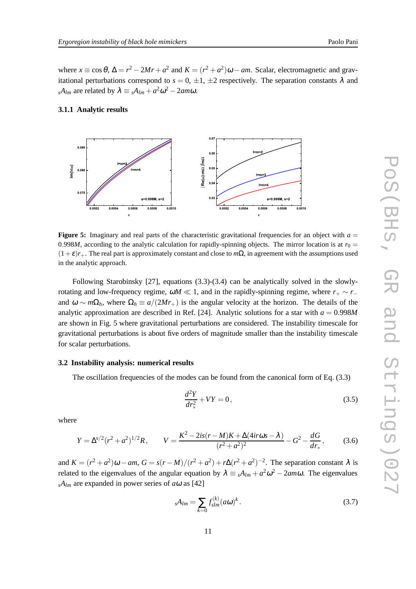where  $x \equiv \cos \theta$ ,  $\Delta = r^2 - 2Mr + a^2$  and  $K = (r^2 + a^2)\omega - am$ . Scalar, electromagnetic and gravitational perturbations correspond to  $s = 0, \pm 1, \pm 2$  respectively. The separation constants  $\lambda$  and  $sA_{lm}$  are related by  $\lambda \equiv sA_{lm} + a^2\omega^2 - 2am\omega$ .

## **3.1.1 Analytic results**



**Figure 5:** Imaginary and real parts of the characteristic gravitational frequencies for an object with  $a =$ 0.998*M*, according to the analytic calculation for rapidly-spinning objects. The mirror location is at  $r_0 =$  $(1+\varepsilon)r_+$ . The real part is approximately constant and close to *m*Ω, in agreement with the assumptions used in the analytic approach.

Following Starobinsky [27], equations (3.3)-(3.4) can be analytically solved in the slowlyrotating and low-frequency regime,  $\omega M \ll 1$ , and in the rapidly-spinning regime, where  $r_+ \sim r_$ and  $\omega \sim m\Omega_h$ , where  $\Omega_h \equiv a/(2Mr_+)$  is the angular velocity at the horizon. The details of the analytic approximation are described in Ref. [24]. Analytic solutions for a star with  $a = 0.998M$ are shown in Fig. 5 where gravitational perturbations are considered. The instability timescale for gravitational perturbations is about five orders of magnitude smaller than the instability timescale for scalar perturbations.

## **3.2 Instability analysis: numerical results**

The oscillation frequencies of the modes can be found from the canonical form of Eq. (3.3)

$$
\frac{d^2Y}{dr_*^2} + VY = 0,\t\t(3.5)
$$

where

$$
Y = \Delta^{s/2} (r^2 + a^2)^{1/2} R, \qquad V = \frac{K^2 - 2is(r - M)K + \Delta(4ir\omega s - \lambda)}{(r^2 + a^2)^2} - G^2 - \frac{dG}{dr_*}, \tag{3.6}
$$

and  $K = (r^2 + a^2)\omega - am$ ,  $G = s(r - M)/(r^2 + a^2) + r\Delta(r^2 + a^2)^{-2}$ . The separation constant  $\lambda$  is related to the eigenvalues of the angular equation by  $\lambda = sA_{lm} + a^2\omega^2 - 2am\omega$ . The eigenvalues  $sA$ <sub>lm</sub> are expanded in power series of *a*ω as [42]

$$
sA_{lm} = \sum_{k=0} f_{slm}^{(k)} (a\omega)^k.
$$
 (3.7)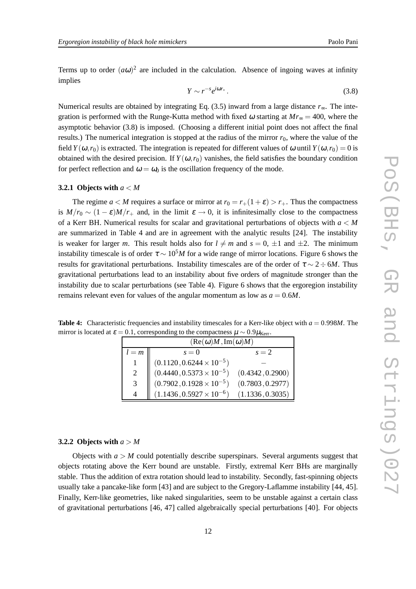Terms up to order  $(a\omega)^2$  are included in the calculation. Absence of ingoing waves at infinity implies

$$
Y \sim r^{-s} e^{i\omega r_*} \,. \tag{3.8}
$$

Numerical results are obtained by integrating Eq. (3.5) inward from a large distance *r*∞. The integration is performed with the Runge-Kutta method with fixed  $\omega$  starting at  $Mr_{\infty} = 400$ , where the asymptotic behavior (3.8) is imposed. (Choosing a different initial point does not affect the final results.) The numerical integration is stopped at the radius of the mirror  $r<sub>0</sub>$ , where the value of the field *Y*( $\omega$ ,*r*<sub>0</sub>) is extracted. The integration is repeated for different values of  $\omega$  until *Y*( $\omega$ ,*r*<sub>0</sub>) = 0 is obtained with the desired precision. If  $Y(\omega, r_0)$  vanishes, the field satisfies the boundary condition for perfect reflection and  $\omega = \omega_0$  is the oscillation frequency of the mode.

#### **3.2.1 Objects with** *a* < *M*

The regime  $a < M$  requires a surface or mirror at  $r_0 = r_+(1+\varepsilon) > r_+$ . Thus the compactness is  $M/r_0 \sim (1 - \varepsilon)M/r_+$  and, in the limit  $\varepsilon \to 0$ , it is infinitesimally close to the compactness of a Kerr BH. Numerical results for scalar and gravitational perturbations of objects with *a* < *M* are summarized in Table 4 and are in agreement with the analytic results [24]. The instability is weaker for larger *m*. This result holds also for  $l \neq m$  and  $s = 0, \pm 1$  and  $\pm 2$ . The minimum instability timescale is of order  $\tau \sim 10^5 M$  for a wide range of mirror locations. Figure 6 shows the results for gravitational perturbations. Instability timescales are of the order of  $\tau \sim 2 \div 6M$ . Thus gravitational perturbations lead to an instability about five orders of magnitude stronger than the instability due to scalar perturbations (see Table 4). Figure 6 shows that the ergoregion instability remains relevant even for values of the angular momentum as low as  $a = 0.6M$ .

**Table 4:** Characteristic frequencies and instability timescales for a Kerr-like object with  $a = 0.998M$ . The mirror is located at  $\varepsilon = 0.1$ , corresponding to the compactness  $\mu \sim 0.9 \mu_{\text{Kerr}}$ .

| $(Re(\omega)M, Im(\omega)M)$ |                                                                        |                  |  |  |
|------------------------------|------------------------------------------------------------------------|------------------|--|--|
| $l = m$                      | $s=0$                                                                  | $s=2$            |  |  |
|                              | $(0.1120\,,0.6244\times10^{-5})$                                       |                  |  |  |
| 2                            | $(0.4440, 0.5373 \times 10^{-5})$<br>$(0.7902, 0.1928 \times 10^{-5})$ | (0.4342, 0.2900) |  |  |
| 3                            |                                                                        | (0.7803, 0.2977) |  |  |
| 4                            | $(1.1436, 0.5927 \times 10^{-6})$                                      | (1.1336, 0.3035) |  |  |

#### **3.2.2 Objects with**  $a > M$

Objects with  $a > M$  could potentially describe superspinars. Several arguments suggest that objects rotating above the Kerr bound are unstable. Firstly, extremal Kerr BHs are marginally stable. Thus the addition of extra rotation should lead to instability. Secondly, fast-spinning objects usually take a pancake-like form [43] and are subject to the Gregory-Laflamme instability [44, 45]. Finally, Kerr-like geometries, like naked singularities, seem to be unstable against a certain class of gravitational perturbations [46, 47] called algebraically special perturbations [40]. For objects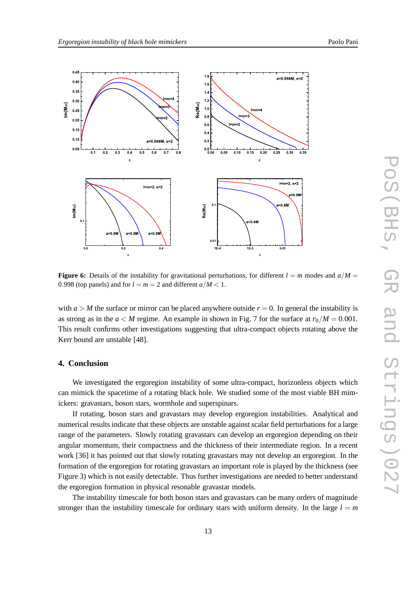

**Figure 6:** Details of the instability for gravitational perturbations, for different  $l = m$  modes and  $a/M =$ 0.998 (top panels) and for  $l = m = 2$  and different  $a/M < 1$ .

with  $a > M$  the surface or mirror can be placed anywhere outside  $r = 0$ . In general the instability is as strong as in the  $a < M$  regime. An example in shown in Fig. 7 for the surface at  $r_0/M = 0.001$ . This result confirms other investigations suggesting that ultra-compact objects rotating above the Kerr bound are unstable [48].

## **4. Conclusion**

We investigated the ergoregion instability of some ultra-compact, horizonless objects which can mimick the spacetime of a rotating black hole. We studied some of the most viable BH mimickers: gravastars, boson stars, wormhole and superspinars.

If rotating, boson stars and gravastars may develop ergoregion instabilities. Analytical and numerical results indicate that these objects are unstable against scalar field perturbations for a large range of the parameters. Slowly rotating gravastars can develop an ergoregion depending on their angular momentum, their compactness and the thickness of their intermediate region. In a recent work [36] it has pointed out that slowly rotating gravastars may not develop an ergoregion. In the formation of the ergoregion for rotating gravastars an important role is played by the thickness (see Figure 3) which is not easily detectable. Thus further investigations are needed to better understand the ergoregion formation in physical resonable gravastar models.

The instability timescale for both boson stars and gravastars can be many orders of magnitude stronger than the instability timescale for ordinary stars with uniform density. In the large  $l = m$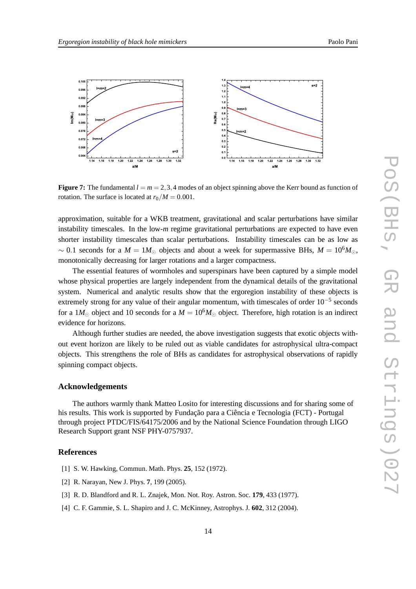

**Figure 7:** The fundamental  $l = m = 2,3,4$  modes of an object spinning above the Kerr bound as function of rotation. The surface is located at  $r_0/M = 0.001$ .

approximation, suitable for a WKB treatment, gravitational and scalar perturbations have similar instability timescales. In the low-*m* regime gravitational perturbations are expected to have even shorter instability timescales than scalar perturbations. Instability timescales can be as low as  $\sim$  0.1 seconds for a *M* = 1*M*<sub>☉</sub> objects and about a week for supermassive BHs, *M* = 10<sup>6</sup>*M*<sub>☉</sub>, monotonically decreasing for larger rotations and a larger compactness.

The essential features of wormholes and superspinars have been captured by a simple model whose physical properties are largely independent from the dynamical details of the gravitational system. Numerical and analytic results show that the ergoregion instability of these objects is extremely strong for any value of their angular momentum, with timescales of order 10<sup>-5</sup> seconds for a 1*M*<sub> $\odot$ </sub> object and 10 seconds for a  $M = 10^{6}M_{\odot}$  object. Therefore, high rotation is an indirect evidence for horizons.

Although further studies are needed, the above investigation suggests that exotic objects without event horizon are likely to be ruled out as viable candidates for astrophysical ultra-compact objects. This strengthens the role of BHs as candidates for astrophysical observations of rapidly spinning compact objects.

## **Acknowledgements**

The authors warmly thank Matteo Losito for interesting discussions and for sharing some of his results. This work is supported by Fundação para a Ciência e Tecnologia (FCT) - Portugal through project PTDC/FIS/64175/2006 and by the National Science Foundation through LIGO Research Support grant NSF PHY-0757937.

## **References**

- [1] S. W. Hawking, Commun. Math. Phys. **25**, 152 (1972).
- [2] R. Narayan, New J. Phys. **7**, 199 (2005).
- [3] R. D. Blandford and R. L. Znajek, Mon. Not. Roy. Astron. Soc. **179**, 433 (1977).
- [4] C. F. Gammie, S. L. Shapiro and J. C. McKinney, Astrophys. J. **602**, 312 (2004).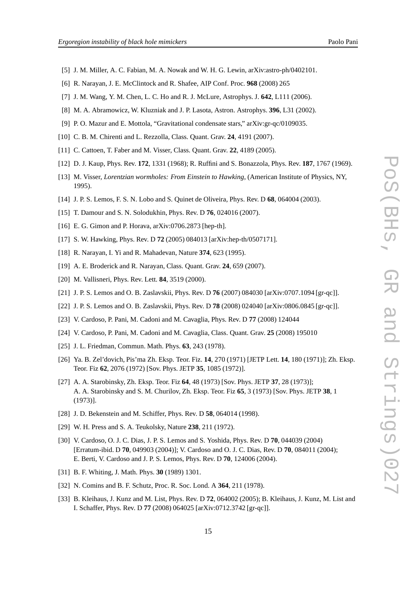- [5] J. M. Miller, A. C. Fabian, M. A. Nowak and W. H. G. Lewin, arXiv:astro-ph/0402101.
- [6] R. Narayan, J. E. McClintock and R. Shafee, AIP Conf. Proc. **968** (2008) 265
- [7] J. M. Wang, Y. M. Chen, L. C. Ho and R. J. McLure, Astrophys. J. **642**, L111 (2006).
- [8] M. A. Abramowicz, W. Kluzniak and J. P. Lasota, Astron. Astrophys. **396**, L31 (2002).
- [9] P. O. Mazur and E. Mottola, "Gravitational condensate stars," arXiv:gr-qc/0109035.
- [10] C. B. M. Chirenti and L. Rezzolla, Class. Quant. Grav. **24**, 4191 (2007).
- [11] C. Cattoen, T. Faber and M. Visser, Class. Quant. Grav. **22**, 4189 (2005).
- [12] D. J. Kaup, Phys. Rev. **172**, 1331 (1968); R. Ruffini and S. Bonazzola, Phys. Rev. **187**, 1767 (1969).
- [13] M. Visser, *Lorentzian wormholes: From Einstein to Hawking*, (American Institute of Physics, NY, 1995).
- [14] J. P. S. Lemos, F. S. N. Lobo and S. Quinet de Oliveira, Phys. Rev. D **68**, 064004 (2003).
- [15] T. Damour and S. N. Solodukhin, Phys. Rev. D **76**, 024016 (2007).
- [16] E. G. Gimon and P. Horava, arXiv:0706.2873 [hep-th].
- [17] S. W. Hawking, Phys. Rev. D **72** (2005) 084013 [arXiv:hep-th/0507171].
- [18] R. Narayan, I. Yi and R. Mahadevan, Nature **374**, 623 (1995).
- [19] A. E. Broderick and R. Narayan, Class. Quant. Grav. **24**, 659 (2007).
- [20] M. Vallisneri, Phys. Rev. Lett. **84**, 3519 (2000).
- [21] J. P. S. Lemos and O. B. Zaslavskii, Phys. Rev. D **76** (2007) 084030 [arXiv:0707.1094 [gr-qc]].
- [22] J. P. S. Lemos and O. B. Zaslavskii, Phys. Rev. D **78** (2008) 024040 [arXiv:0806.0845 [gr-qc]].
- [23] V. Cardoso, P. Pani, M. Cadoni and M. Cavaglia, Phys. Rev. D **77** (2008) 124044
- [24] V. Cardoso, P. Pani, M. Cadoni and M. Cavaglia, Class. Quant. Grav. **25** (2008) 195010
- [25] J. L. Friedman, Commun. Math. Phys. **63**, 243 (1978).
- [26] Ya. B. Zel'dovich, Pis'ma Zh. Eksp. Teor. Fiz. **14**, 270 (1971) [JETP Lett. **14**, 180 (1971)]; Zh. Eksp. Teor. Fiz **62**, 2076 (1972) [Sov. Phys. JETP **35**, 1085 (1972)].
- [27] A. A. Starobinsky, Zh. Eksp. Teor. Fiz **64**, 48 (1973) [Sov. Phys. JETP **37**, 28 (1973)]; A. A. Starobinsky and S. M. Churilov, Zh. Eksp. Teor. Fiz **65**, 3 (1973) [Sov. Phys. JETP **38**, 1 (1973)].
- [28] J. D. Bekenstein and M. Schiffer, Phys. Rev. D **58**, 064014 (1998).
- [29] W. H. Press and S. A. Teukolsky, Nature **238**, 211 (1972).
- [30] V. Cardoso, O. J. C. Dias, J. P. S. Lemos and S. Yoshida, Phys. Rev. D **70**, 044039 (2004) [Erratum-ibid. D **70**, 049903 (2004)]; V. Cardoso and O. J. C. Dias, Rev. D **70**, 084011 (2004); E. Berti, V. Cardoso and J. P. S. Lemos, Phys. Rev. D **70**, 124006 (2004).
- [31] B. F. Whiting, J. Math. Phys. **30** (1989) 1301.
- [32] N. Comins and B. F. Schutz, Proc. R. Soc. Lond. A **364**, 211 (1978).
- [33] B. Kleihaus, J. Kunz and M. List, Phys. Rev. D **72**, 064002 (2005); B. Kleihaus, J. Kunz, M. List and I. Schaffer, Phys. Rev. D **77** (2008) 064025 [arXiv:0712.3742 [gr-qc]].